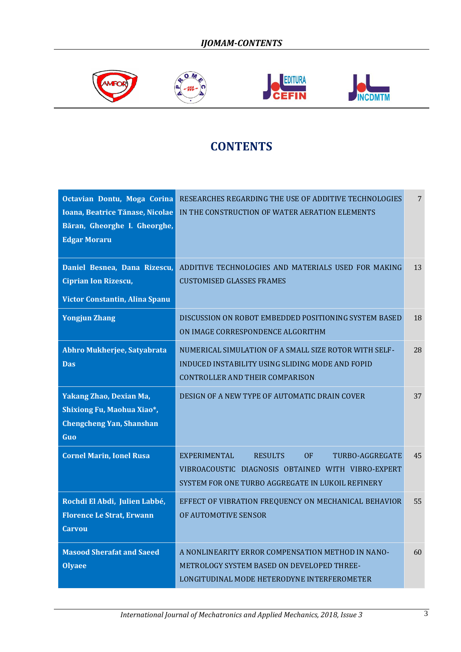







## **CONTENTS**

| Octavian Dontu, Moga Corina<br>Ioana, Beatrice Tănase, Nicolae<br>Băran, Gheorghe I. Gheorghe,<br><b>Edgar Moraru</b> | RESEARCHES REGARDING THE USE OF ADDITIVE TECHNOLOGIES<br>IN THE CONSTRUCTION OF WATER AERATION ELEMENTS                                                                   | 7  |
|-----------------------------------------------------------------------------------------------------------------------|---------------------------------------------------------------------------------------------------------------------------------------------------------------------------|----|
| Daniel Besnea, Dana Rizescu,<br><b>Ciprian Ion Rizescu,</b><br>Victor Constantin, Alina Spanu                         | ADDITIVE TECHNOLOGIES AND MATERIALS USED FOR MAKING<br><b>CUSTOMISED GLASSES FRAMES</b>                                                                                   | 13 |
| <b>Yongjun Zhang</b>                                                                                                  | DISCUSSION ON ROBOT EMBEDDED POSITIONING SYSTEM BASED<br>ON IMAGE CORRESPONDENCE ALGORITHM                                                                                | 18 |
| Abhro Mukherjee, Satyabrata<br><b>Das</b>                                                                             | NUMERICAL SIMULATION OF A SMALL SIZE ROTOR WITH SELF-<br>INDUCED INSTABILITY USING SLIDING MODE AND FOPID<br><b>CONTROLLER AND THEIR COMPARISON</b>                       | 28 |
| Yakang Zhao, Dexian Ma,<br>Shixiong Fu, Maohua Xiao*,<br><b>Chengcheng Yan, Shanshan</b><br>Guo                       | DESIGN OF A NEW TYPE OF AUTOMATIC DRAIN COVER                                                                                                                             | 37 |
| <b>Cornel Marin, Ionel Rusa</b>                                                                                       | <b>EXPERIMENTAL</b><br>OF<br><b>RESULTS</b><br>TURBO-AGGREGATE<br>VIBROACOUSTIC DIAGNOSIS OBTAINED WITH VIBRO-EXPERT<br>SYSTEM FOR ONE TURBO AGGREGATE IN LUKOIL REFINERY | 45 |
| Rochdi El Abdi, Julien Labbé,<br><b>Florence Le Strat, Erwann</b><br><b>Carvou</b>                                    | EFFECT OF VIBRATION FREQUENCY ON MECHANICAL BEHAVIOR<br>OF AUTOMOTIVE SENSOR                                                                                              | 55 |
| <b>Masood Sherafat and Saeed</b><br><b>Olyaee</b>                                                                     | A NONLINEARITY ERROR COMPENSATION METHOD IN NANO-<br>METROLOGY SYSTEM BASED ON DEVELOPED THREE-<br>LONGITUDINAL MODE HETERODYNE INTERFEROMETER                            | 60 |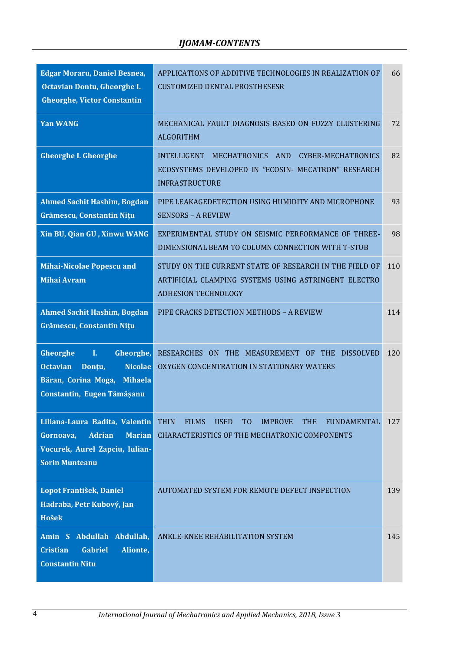| <b>Edgar Moraru, Daniel Besnea,</b><br>Octavian Dontu, Gheorghe I.<br><b>Gheorghe, Victor Constantin</b>                                 | APPLICATIONS OF ADDITIVE TECHNOLOGIES IN REALIZATION OF<br><b>CUSTOMIZED DENTAL PROSTHESESR</b>                                                                     | 66  |
|------------------------------------------------------------------------------------------------------------------------------------------|---------------------------------------------------------------------------------------------------------------------------------------------------------------------|-----|
| <b>Yan WANG</b>                                                                                                                          | MECHANICAL FAULT DIAGNOSIS BASED ON FUZZY CLUSTERING<br><b>ALGORITHM</b>                                                                                            | 72  |
| <b>Gheorghe I. Gheorghe</b>                                                                                                              | INTELLIGENT<br>MECHATRONICS AND<br>CYBER-MECHATRONICS<br>ECOSYSTEMS DEVELOPED IN "ECOSIN- MECATRON" RESEARCH<br><b>INFRASTRUCTURE</b>                               | 82  |
| <b>Ahmed Sachit Hashim, Bogdan</b><br>Grămescu, Constantin Nițu                                                                          | PIPE LEAKAGEDETECTION USING HUMIDITY AND MICROPHONE<br><b>SENSORS - A REVIEW</b>                                                                                    | 93  |
| Xin BU, Qian GU, Xinwu WANG                                                                                                              | EXPERIMENTAL STUDY ON SEISMIC PERFORMANCE OF THREE-<br>DIMENSIONAL BEAM TO COLUMN CONNECTION WITH T-STUB                                                            | 98  |
| <b>Mihai-Nicolae Popescu and</b><br><b>Mihai Avram</b>                                                                                   | STUDY ON THE CURRENT STATE OF RESEARCH IN THE FIELD OF<br>ARTIFICIAL CLAMPING SYSTEMS USING ASTRINGENT ELECTRO<br><b>ADHESION TECHNOLOGY</b>                        | 110 |
| <b>Ahmed Sachit Hashim, Bogdan</b><br>Grămescu, Constantin Nițu                                                                          | PIPE CRACKS DETECTION METHODS - A REVIEW                                                                                                                            | 114 |
| Gheorghe<br>Gheorghe,<br>I.<br><b>Nicolae</b><br><b>Octavian</b><br>Donțu,<br>Băran, Corina Moga, Mihaela<br>Constantin, Eugen Tămășanu  | RESEARCHES ON THE MEASUREMENT OF THE<br><b>DISSOLVED</b><br>OXYGEN CONCENTRATION IN STATIONARY WATERS                                                               | 120 |
| Liliana-Laura Badita, Valentin<br><b>Adrian</b><br><b>Marian</b><br>Gornoava,<br>Vocurek, Aurel Zapciu, Iulian-<br><b>Sorin Munteanu</b> | <b>FILMS</b><br><b>THIN</b><br><b>USED</b><br>T <sub>O</sub><br><b>IMPROVE</b><br><b>THE</b><br>FUNDAMENTAL<br><b>CHARACTERISTICS OF THE MECHATRONIC COMPONENTS</b> | 127 |
| Lopot František, Daniel<br>Hadraba, Petr Kubový, Jan<br><b>Hošek</b>                                                                     | AUTOMATED SYSTEM FOR REMOTE DEFECT INSPECTION                                                                                                                       | 139 |
| Amin S Abdullah Abdullah,<br><b>Gabriel</b><br>Alionte,<br><b>Cristian</b><br><b>Constantin Nitu</b>                                     | ANKLE-KNEE REHABILITATION SYSTEM                                                                                                                                    | 145 |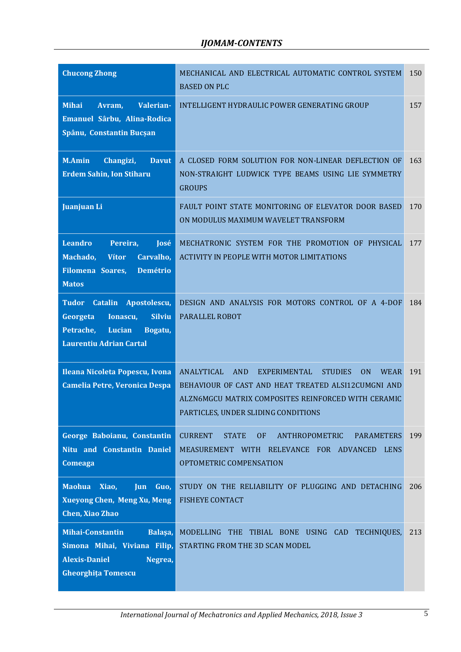| <b>Chucong Zhong</b>                                                                                                                       | MECHANICAL AND ELECTRICAL AUTOMATIC CONTROL SYSTEM<br><b>BASED ON PLC</b>                                                                                                                                                                        | 150 |
|--------------------------------------------------------------------------------------------------------------------------------------------|--------------------------------------------------------------------------------------------------------------------------------------------------------------------------------------------------------------------------------------------------|-----|
| <b>Mihai</b><br>Valerian-<br>Avram,<br>Emanuel Sârbu, Alina-Rodica<br>Spânu, Constantin Bucșan                                             | INTELLIGENT HYDRAULIC POWER GENERATING GROUP                                                                                                                                                                                                     | 157 |
| <b>M.Amin</b><br>Changizi,<br><b>Davut</b><br><b>Erdem Sahin, Ion Stiharu</b>                                                              | A CLOSED FORM SOLUTION FOR NON-LINEAR DEFLECTION OF<br>NON-STRAIGHT LUDWICK TYPE BEAMS USING LIE SYMMETRY<br><b>GROUPS</b>                                                                                                                       | 163 |
| Juanjuan Li                                                                                                                                | FAULT POINT STATE MONITORING OF ELEVATOR DOOR BASED<br>ON MODULUS MAXIMUM WAVELET TRANSFORM                                                                                                                                                      | 170 |
| <b>Leandro</b><br>Pereira,<br>José<br>Machado,<br>Carvalho,<br><b>Vítor</b><br><b>Demétrio</b><br><b>Filomena Soares,</b><br><b>Matos</b>  | MECHATRONIC SYSTEM FOR THE PROMOTION OF PHYSICAL<br><b>ACTIVITY IN PEOPLE WITH MOTOR LIMITATIONS</b>                                                                                                                                             | 177 |
| Tudor Catalin<br>Apostolescu,<br><b>Silviu</b><br>Georgeta<br>Ionascu,<br>Petrache,<br>Lucian<br>Bogatu,<br><b>Laurentiu Adrian Cartal</b> | DESIGN AND ANALYSIS FOR MOTORS CONTROL OF A 4-DOF<br>PARALLEL ROBOT                                                                                                                                                                              | 184 |
| Ileana Nicoleta Popescu, Ivona<br><b>Camelia Petre, Veronica Despa</b>                                                                     | <b>ANALYTICAL</b><br>AND<br>EXPERIMENTAL<br><b>STUDIES</b><br><b>WEAR</b><br>0 <sub>N</sub><br>BEHAVIOUR OF CAST AND HEAT TREATED ALSI12CUMGNI AND<br>ALZN6MGCU MATRIX COMPOSITES REINFORCED WITH CERAMIC<br>PARTICLES, UNDER SLIDING CONDITIONS | 191 |
| George Baboianu, Constantin<br>Nitu and Constantin Daniel<br>Comeaga                                                                       | <b>CURRENT</b><br><b>STATE</b><br><b>OF</b><br>ANTHROPOMETRIC<br><b>PARAMETERS</b><br>MEASUREMENT WITH RELEVANCE FOR ADVANCED LENS<br>OPTOMETRIC COMPENSATION                                                                                    | 199 |
| <b>Maohua</b><br>Xiao,<br><b>Jun</b><br>Guo,<br><b>Xueyong Chen, Meng Xu, Meng</b><br>Chen, Xiao Zhao                                      | STUDY ON THE RELIABILITY OF PLUGGING AND DETACHING<br><b>FISHEYE CONTACT</b>                                                                                                                                                                     | 206 |
| Mihai-Constantin<br>Balaşa,<br>Simona Mihai, Viviana Filip,<br><b>Alexis-Daniel</b><br>Negrea,<br><b>Gheorghița Tomescu</b>                | MODELLING THE TIBIAL BONE USING CAD TECHNIQUES,<br>STARTING FROM THE 3D SCAN MODEL                                                                                                                                                               | 213 |